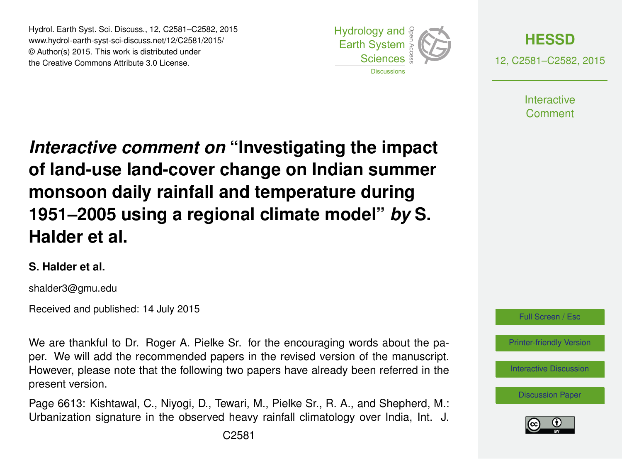Hydrol. Earth Syst. Sci. Discuss., 12, C2581–C2582, 2015 www.hydrol-earth-syst-sci-discuss.net/12/C2581/2015/ © Author(s) 2015. This work is distributed under the Creative Commons Attribute 3.0 License.





12, C2581–C2582, 2015

**Interactive** Comment

*Interactive comment on* **"Investigating the impact of land-use land-cover change on Indian summer monsoon daily rainfall and temperature during 1951–2005 using a regional climate model"** *by* **S. Halder et al.**

## **S. Halder et al.**

shalder3@gmu.edu

Received and published: 14 July 2015

We are thankful to Dr. Roger A. Pielke Sr. for the encouraging words about the paper. We will add the recommended papers in the revised version of the manuscript. However, please note that the following two papers have already been referred in the present version.

Page 6613: Kishtawal, C., Niyogi, D., Tewari, M., Pielke Sr., R. A., and Shepherd, M.: Urbanization signature in the observed heavy rainfall climatology over India, Int. J.



[Interactive Discussion](http://www.hydrol-earth-syst-sci-discuss.net/12/6575/2015/hessd-12-6575-2015-discussion.html)

[Discussion Paper](http://www.hydrol-earth-syst-sci-discuss.net/12/6575/2015/hessd-12-6575-2015.pdf)